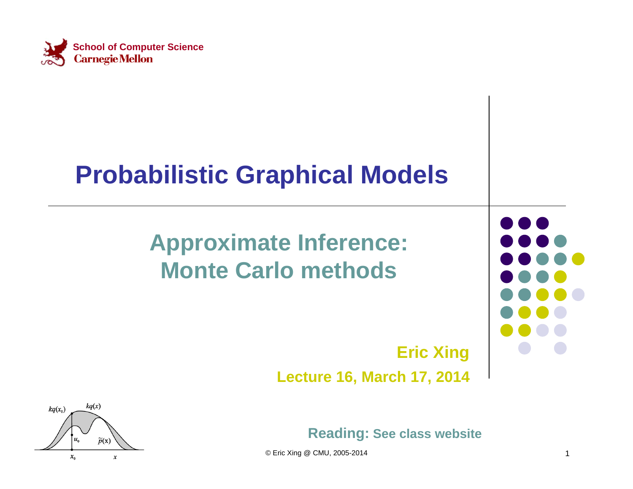

### **Probabilistic Graphical Models**

### **Approximate Inference: Monte Carlo methods**

### **Eric Xing Lecture 16, March 17, 2014**



**Reading: See class website**

© Eric Xing @ CMU, 2005-2014 1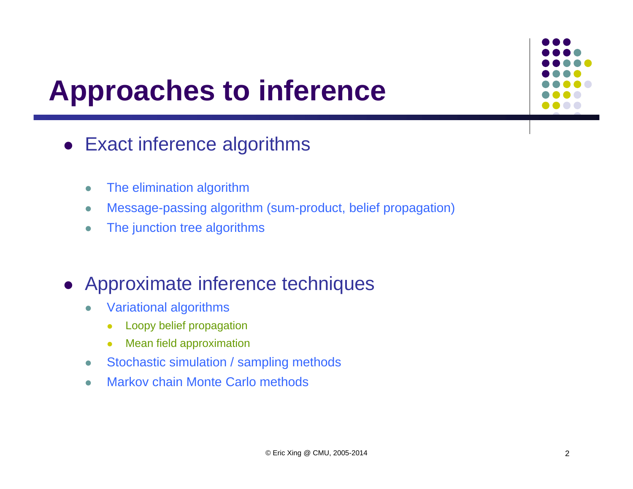### **Approaches to inference**

### Exact inference algorithms

- $\bullet$ The elimination algorithm
- $\bullet$ Message-passing algorithm (sum-product, belief propagation)
- $\bullet$ The junction tree algorithms

### Approximate inference techniques

- $\bullet$  Variational algorithms
	- $\bullet$ Loopy belief propagation
	- $\bullet$ Mean field approximation
- $\bullet$ Stochastic simulation / sampling methods
- $\bullet$ Markov chain Monte Carlo methods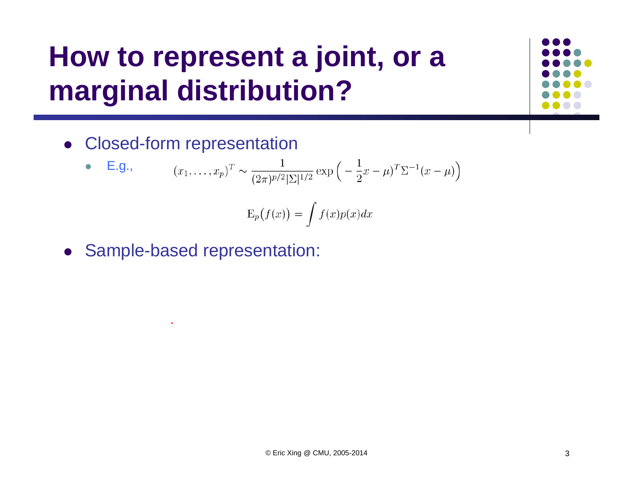## **How to represent a joint, or a marginal distribution?**

Closed-form representation

• E.g., 
$$
(x_1,...,x_p)^T \sim \frac{1}{(2\pi)^{p/2}|\Sigma|^{1/2}} \exp\left(-\frac{1}{2}x - \mu\right)^T \Sigma^{-1} (x - \mu)
$$
  

$$
E_p(f(x)) = \int f(x)p(x)dx
$$

**•** Sample-based representation: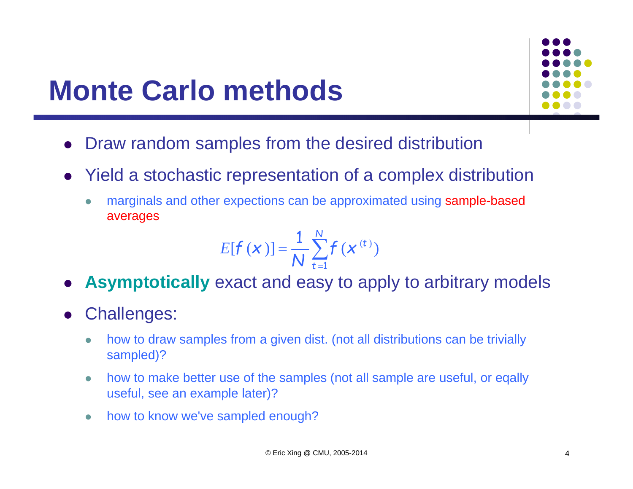### **Monte Carlo methods**



- $\bullet$ Draw random samples from the desired distribution
- $\bullet$  Yield a stochastic representation of a complex distribution
	- $\bullet$  marginals and other expections can be approximated using sample-based averages

$$
E[f(x)] = \frac{1}{N} \sum_{t=1}^{N} f(x^{(t)})
$$

- $\bullet$ **Asymptotically** exact and easy to apply to arbitrary models
- $\bullet$  Challenges:
	- $\bullet$  how to draw samples from a given dist. (not all distributions can be trivially sampled)?
	- $\bullet$  how to make better use of the samples (not all sample are useful, or eqally useful, see an example later)?
	- $\bullet$ how to know we've sampled enough?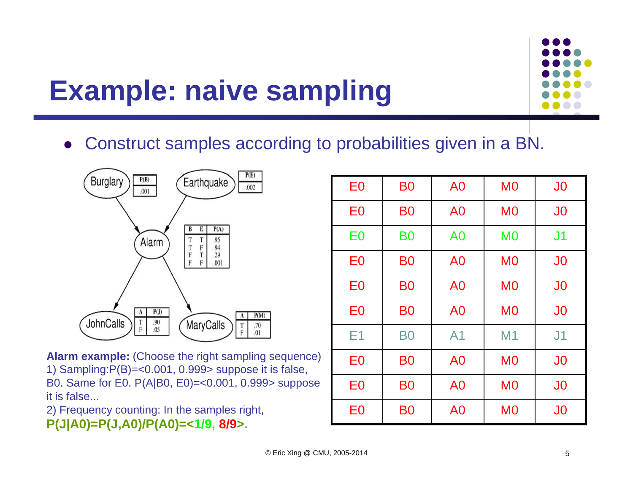### **Example: naive sampling**

 $\bullet$ Construct samples according to probabilities given in a BN.



**Alarm example:** (Choose the right sampling sequence) 1) Sampling:P(B)=<0.001, 0.999> suppose it is false, B0. Same for E0. P(A|B0, E0)=<0.001, 0.999> suppose it is false...

2) Frequency counting: In the samples right, **P(J|A0)=P(J,A0)/P(A0)=<1/9, 8/9 >.**

| E <sub>0</sub> | <b>B0</b>      | A <sub>0</sub> | M <sub>0</sub> | J <sub>0</sub> |
|----------------|----------------|----------------|----------------|----------------|
| E <sub>0</sub> | <b>B0</b>      | A <sub>0</sub> | M <sub>0</sub> | J <sub>0</sub> |
| E <sub>0</sub> | <b>B0</b>      | A <sub>0</sub> | M <sub>0</sub> | J <sub>1</sub> |
| E <sub>0</sub> | <b>B0</b>      | A <sub>0</sub> | M <sub>0</sub> | J <sub>0</sub> |
| E <sub>0</sub> | <b>B0</b>      | A <sub>0</sub> | M <sub>0</sub> | J <sub>0</sub> |
| E <sub>0</sub> | <b>B0</b>      | A <sub>0</sub> | M <sub>0</sub> | J <sub>0</sub> |
| E1             | B <sub>0</sub> | A <sub>1</sub> | M <sub>1</sub> | J <sub>1</sub> |
| E <sub>0</sub> | <b>B0</b>      | A <sub>0</sub> | M <sub>0</sub> | J <sub>0</sub> |
| E <sub>0</sub> | <b>B0</b>      | A <sub>0</sub> | M <sub>0</sub> | J <sub>0</sub> |
| E <sub>0</sub> | B <sub>0</sub> | A <sub>0</sub> | M <sub>0</sub> | J <sub>0</sub> |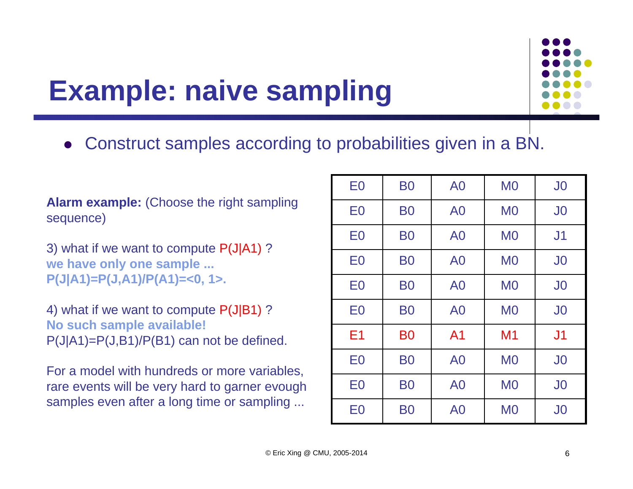### **Example: naive sampling**

 $\bullet$ Construct samples according to probabilities given in a BN.

**Alarm example:** (Choose the right sampling sequence)

3) what if we want to compute P(J|A1) ? **we have only one sample ... P(J|A1)=P(J,A1)/P(A1)=<0, 1>.**

4) what if we want to compute P(J|B1) ? **No such sample available!** P(J|A1)=P(J,B1)/P(B1) can not be defined.

For a model with hundreds or more variables, rare events will be very hard to garner evough samples even after a long time or sampling ...

| E <sub>0</sub> | <b>B0</b>      | A <sub>0</sub> | M <sub>0</sub> | J <sub>0</sub> |
|----------------|----------------|----------------|----------------|----------------|
| E <sub>0</sub> | <b>B0</b>      | A <sub>0</sub> | M <sub>0</sub> | J <sub>0</sub> |
| E <sub>0</sub> | <b>B0</b>      | A <sub>0</sub> | M <sub>0</sub> | J <sub>1</sub> |
| E <sub>0</sub> | <b>B0</b>      | A <sub>0</sub> | M <sub>0</sub> | J <sub>0</sub> |
| E <sub>0</sub> | <b>B0</b>      | A <sub>0</sub> | M <sub>0</sub> | J <sub>0</sub> |
| E <sub>0</sub> | <b>B0</b>      | A <sub>0</sub> | M <sub>0</sub> | J <sub>0</sub> |
| E <sub>1</sub> | B <sub>0</sub> | A <sub>1</sub> | M <sub>1</sub> | J <sub>1</sub> |
| E <sub>0</sub> | <b>B0</b>      | A <sub>0</sub> | M <sub>0</sub> | J <sub>0</sub> |
| E <sub>0</sub> | <b>B0</b>      | A <sub>0</sub> | M <sub>0</sub> | J <sub>0</sub> |
| E <sub>0</sub> | B <sub>0</sub> | A <sub>0</sub> | M <sub>0</sub> | J <sub>0</sub> |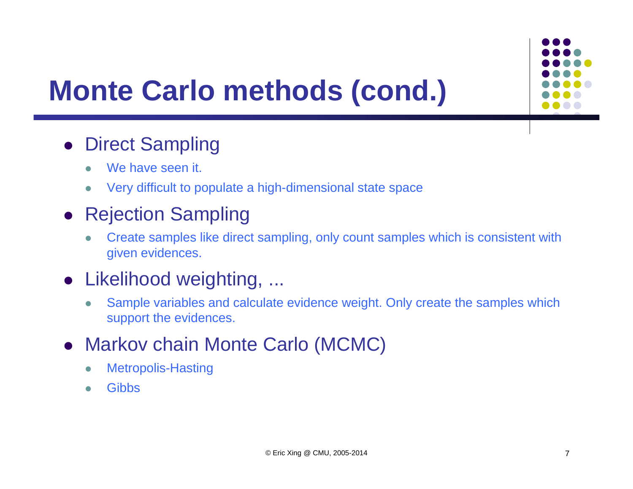

# **Monte Carlo methods (cond.)**

### **• Direct Sampling**

- $\bullet$ We have seen it.
- $\bullet$ Very difficult to populate a high-dimensional state space

### **• Rejection Sampling**

 $\bullet$  Create samples like direct sampling, only count samples which is consistent with given evidences.

### **• Likelihood weighting, ...**

- $\bullet$  Sample variables and calculate evidence weight. Only create the samples which support the evidences.
- Markov chain Monte Carlo (MCMC)
	- $\bullet$ Metropolis-Hasting
	- $\bullet$ **Gibbs**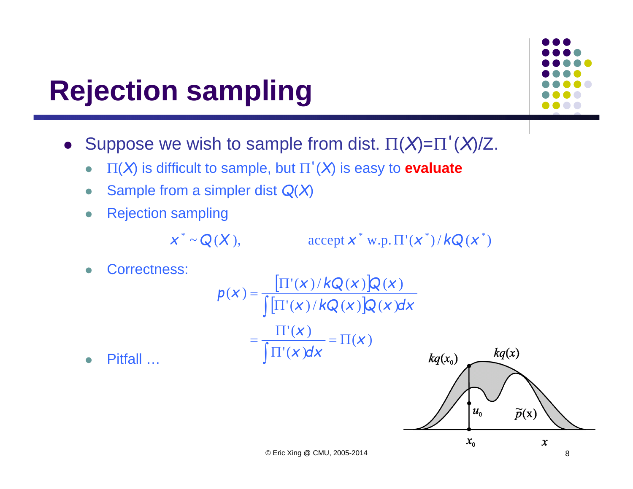### **Rejection sampling**

- Suppose we wish to sample from dist.  $\Pi(X)=\Pi'(X)/Z$ .
	- $\bullet$  $\Pi(X)$  is difficult to sample, but  $\Pi'(X)$  is easy to **evaluate**
	- $\bullet$ Sample from a simpler dist *Q*(*X*)
	- $\bullet$ Rejection sampling

 $x^* \sim Q(X)$ ,  $\qquad \qquad \text{accept } x^* \le .\text{p.} \Pi'(x^*) / kQ(x^*)$ 

 $\bullet$ Correctness:

$$
p(x) = \frac{\left[\prod'(x)/kQ(x)\right]Q(x)}{\int \left[\prod'(x)/kQ(x)\right]Q(x)dx}
$$

$$
= \frac{\prod'(x)}{\int \prod'(x)dx} = \prod(x)
$$

$$
kq(x_0)
$$

 $\boldsymbol{u}_0$ 

 $x_{0}$ 

 $p(x)$ 

0 Pitfall …

 $\boldsymbol{\mathit{x}}$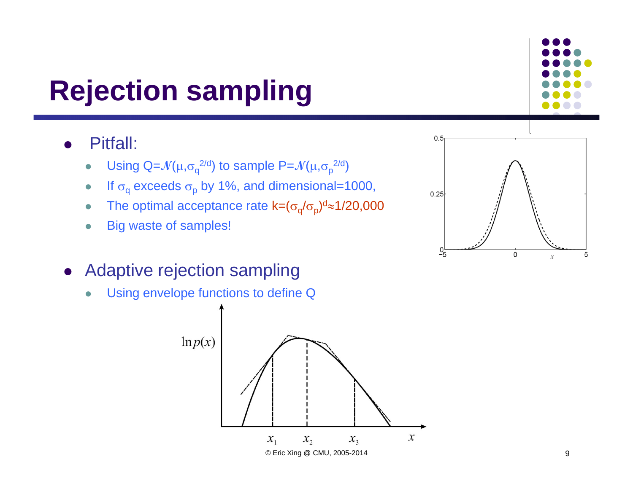### **Rejection sampling**

### $\bullet$ Pitfall:

- $\bullet$ • Using Q= $\mathcal{N}(\mu, \sigma_q^{2/d})$  to sample P= $\mathcal{N}(\mu, \sigma_p^{2/d})$
- $\bullet$ If  $\sigma_q$  exceeds  $\sigma_p$  by 1%, and dimensional=1000,
- $\bullet$ • The optimal acceptance rate  $\mathsf{k} = (\sigma_{\mathsf{q}} / \sigma_{\mathsf{p}})^{\mathsf{d}} \approx 1/20,000$
- $\bullet$ Big waste of samples!

### $\bullet$ Adaptive rejection sampling

 $\bullet$ Using envelope functions to define Q



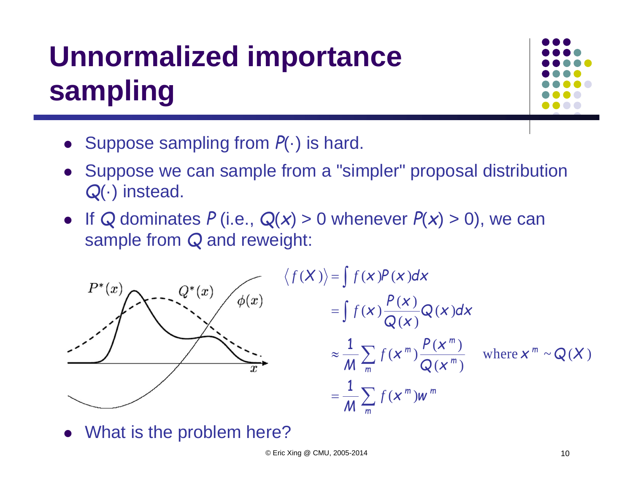# **Unnormalized importance sampling**



- Suppose sampling from  $P(\cdot)$  is hard.
- Suppose we can sample from a "simpler" proposal distribution *Q*(·) instead.
- If Q dominates P (i.e.,  $Q(x) > 0$  whenever  $P(x) > 0$ ), we can sample from *Q* and reweight:



 $\bullet$ What is the problem here?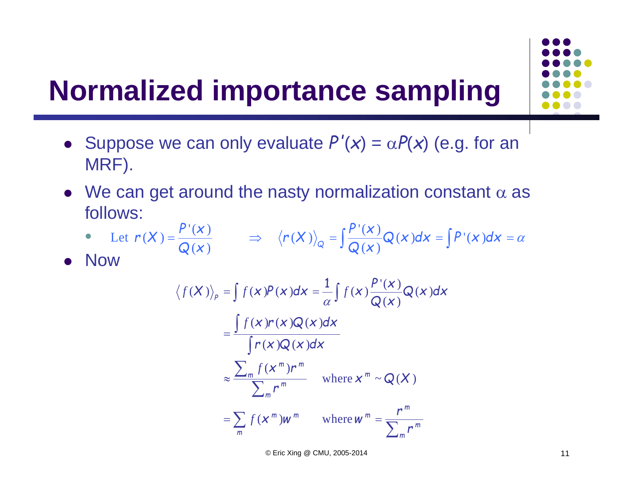## **Normalized importance sampling**



• We can get around the nasty normalization constant  $\alpha$  as follows:

• Let 
$$
r(X) = \frac{P'(x)}{Q(x)}
$$
  $\Rightarrow \langle r(X) \rangle_Q = \int \frac{P'(x)}{Q(x)} Q(x) dx = \int P'(x) dx = \alpha$ 

 $\bullet$ Now

$$
\langle f(X) \rangle_{p} = \int f(x)P(x)dx = \frac{1}{\alpha} \int f(x) \frac{P'(x)}{Q(x)}Q(x)dx
$$

$$
= \frac{\int f(x)r(x)Q(x)dx}{\int r(x)Q(x)dx}
$$

$$
\approx \frac{\sum_{m} f(x^{m})r^{m}}{\sum_{m} r^{m}} \text{ where } x^{m} \sim Q(X)
$$

$$
= \sum_{m} f(x^{m})w^{m} \text{ where } w^{m} = \frac{r^{m}}{\sum_{m} r^{m}}
$$

© Eric Xing @ CMU, 2005-2014 11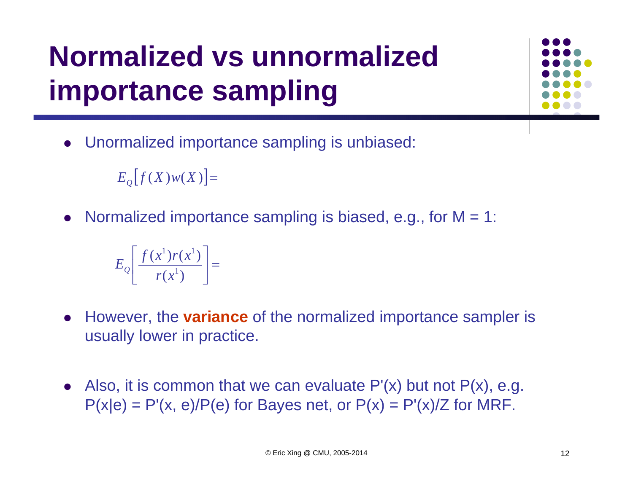## **Normalized vs unnormalized importance sampling**

Unormalized importance sampling is unbiased:

 $E_{\mathcal{Q}}[f(X)w(X)] =$ 

 $\bullet$ Normalized importance sampling is biased, e.g., for  $M = 1$ :

$$
E_{Q}\left[\frac{f(x^{1})r(x^{1})}{r(x^{1})}\right]=
$$

- $\bullet$  However, the **variance** of the normalized importance sampler is usually lower in practice.
- Also, it is common that we can evaluate  $P'(x)$  but not  $P(x)$ , e.g.  $P(x|e) = P'(x, e)/P(e)$  for Bayes net, or  $P(x) = P'(x)/Z$  for MRF.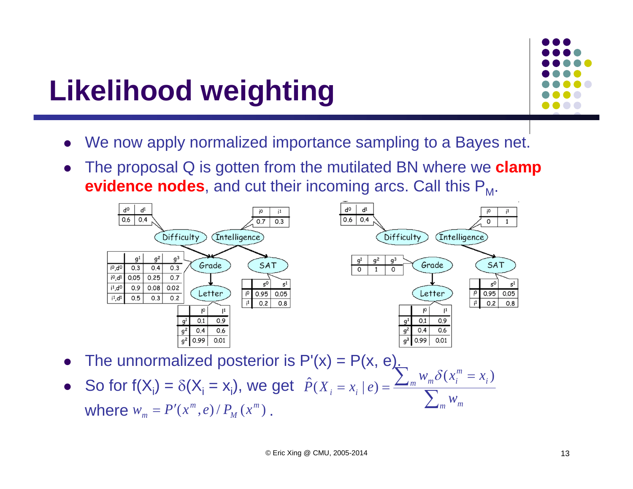## **Likelihood weighting**



- $\bullet$ We now apply normalized importance sampling to a Bayes net.
- $\bullet$  The proposal Q is gotten from the mutilated BN where we **clamp evidence nodes**, and cut their incoming arcs. Call this P<sub>м</sub>.



- $\bullet$ • The unnormalized posterior is  $P'(x) = P(x, e)$ .
- $\bullet$ • So for  $f(X_i) = \delta(X_i = x_i)$ , we get where  $w_m = P'(x^m, e) / P_M(x^m)$ .  $\sum$  $\sum$  $= x_i | e) = \frac{\sum_m W_m O(x_i)}{\sum_{i=1}^{\infty} P_i}$ *mm* $m$   $m$ <sup>*i*</sup>  $\mathcal{N}_i$   $\mathcal{N}_i$  $\delta(x_i^m)$ *i i w*  $\hat{P}(X_i = x_i | e) = \frac{\sum_m w_m \delta(x_i^m = x_i)}{n}$  $w_m = P'(x^m, e) / P_M(x)$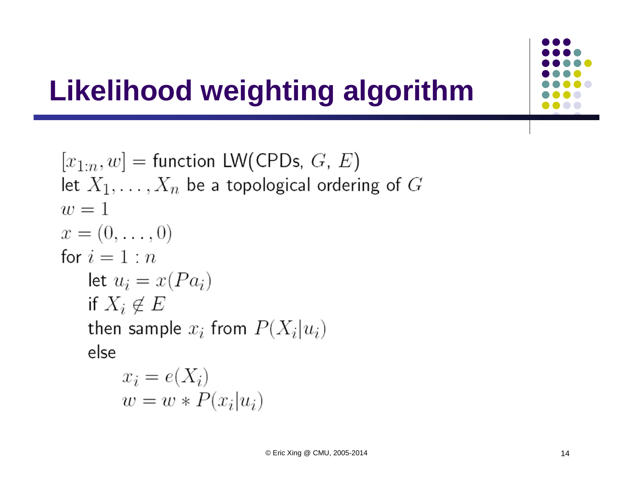## **Likelihood weighting algorithm**

$$
[x_{1:n}, w] = \text{function LW(CPDs, } G, E)
$$
\nlet  $X_1, \ldots, X_n$  be a topological ordering of  $G$   
\n $w = 1$   
\n $x = (0, \ldots, 0)$   
\nfor  $i = 1 : n$   
\nlet  $u_i = x(Pa_i)$   
\nif  $X_i \notin E$   
\nthen sample  $x_i$  from  $P(X_i|u_i)$   
\nelse  
\n $x_i = e(X_i)$   
\n $w = w * P(x_i|u_i)$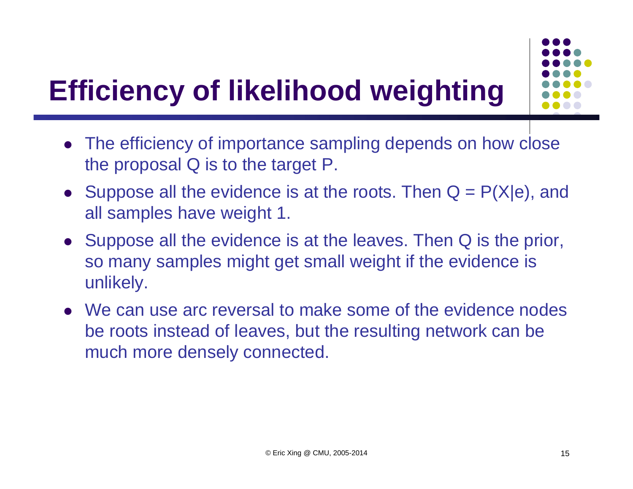

# **Efficiency of likelihood weighting**

- The efficiency of importance sampling depends on how close the proposal Q is to the target P.
- Suppose all the evidence is at the roots. Then  $Q = P(X|e)$ , and all samples have weight 1.
- Suppose all the evidence is at the leaves. Then Q is the prior, so many samples might get small weight if the evidence is unlikely.
- We can use arc reversal to make some of the evidence nodes be roots instead of leaves, but the resulting network can be much more densely connected.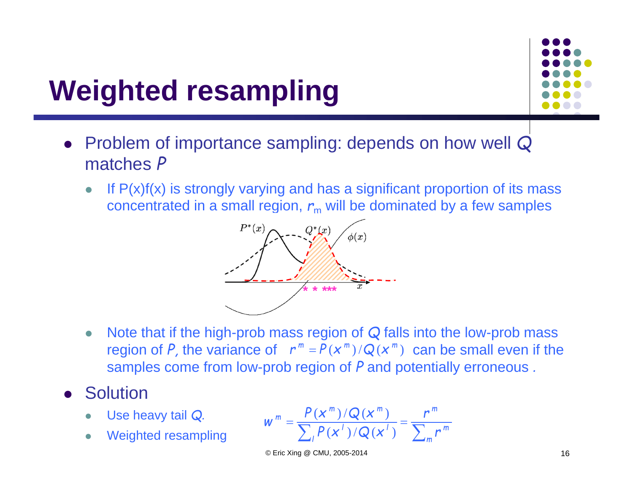# **Weighted resampling**



- $\bullet$  Problem of importance sampling: depends on how well *Q* matches *P*
	- $\bullet$ If  $P(x)f(x)$  is strongly varying and has a significant proportion of its mass concentrated in a small region,  $r_{\scriptscriptstyle \sf m}$  will be dominated by a few samples



- 0 • Note that if the high-prob mass region of Q falls into the low-prob mass region of P, the variance of  $r^m = P(x^m) / Q(x^m)$  can be small even if the samples come from low-prob region of *P* and potentially erroneous *.*
- **•** Solution
	- $\bullet$ Use heavy tail *Q.*
	- $\bullet$ Weighted resampling

$$
w^{m} = \frac{P(x^{m})/Q(x^{m})}{\sum_{l} P(x^{l})/Q(x^{l})} = \frac{r^{m}}{\sum_{m} r^{m}}
$$

© Eric Xing @ CMU, 2005-2014 16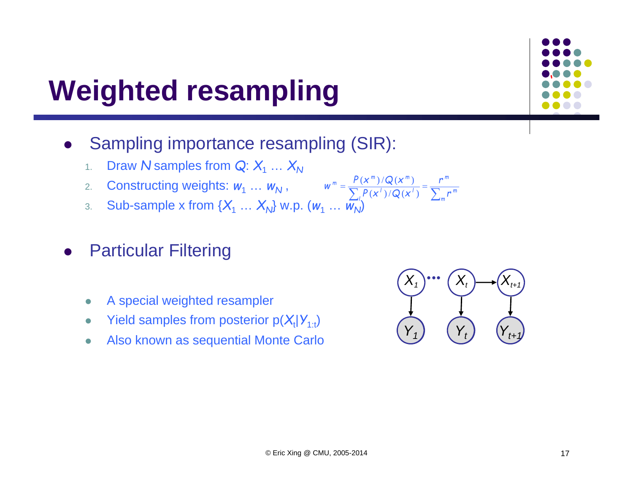## **Weighted resampling**

- $\bullet$  Sampling importance resampling (SIR):
	- 1.. Draw  $N$  samples from  $Q$ :  $X_{1}$  …  $X_{N}$
	- 2.. Constructing weights:  $w_1$  …  $w_N$  ,
	- 3.. Sub-sample x from {*X*<sub>1</sub> ... *X*<sub>N</sub>} w.p. (*w*<sub>1</sub> ... *w*<sub>N</sub>)  $=\frac{1}{\sum_{i} P(x^{i})/Q(x^{i})} = \frac{1}{\sum_{i} P(x^{i})/Q(x^{i})}$ *l*  $w^{m} = \frac{P(x^{m})/Q(x^{m})}{\sum_{i} P(x^{i})/Q(x^{i})}$
- $\bullet$  Particular Filtering
	- $\bullet$ A special weighted resampler
	- $\bullet$ • Yield samples from posterior  $p(X_t|Y_{1:t})$
	- $\bullet$ Also known as sequential Monte Carlo



*m m m*

 $\left| \cdot \right|$   $\left| \cdot \right|$  $\binom{m}{m} = \frac{P(x^m)/Q(x^m)}{\sum_{i} P(x^i)/Q(x^i)} = \frac{r^m}{\sum_{i} r^i}$  $\frac{(X^{n})}{P(X^{l})/Q(X^{l})} = \frac{P}{\sum_{n}$ 

 $({\pmb{\times}}^m) / {\mathbf{Q}}({\pmb{\times}}^m)$ 

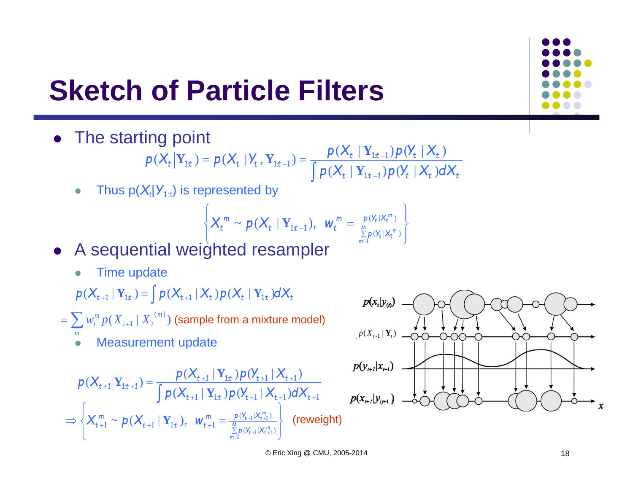### **Sketch of Particle Filters**



$$
p(X_t | Y_{1t}) = p(X_t | Y_t, Y_{1t-1}) = \frac{p(X_t | Y_{1t-1})p(Y_t | X_t)}{\int p(X_t | Y_{1t-1})p(Y_t | X_t)dX_t}
$$

 $\bullet$ • Thus  $p(X_t|Y_{1:t})$  is represented by

$$
\left\{\mathbf{X}_t^m \sim p(\mathbf{X}_t \mid \mathbf{Y}_{1t-1}), \ \mathbf{W}_t^m = \frac{p(\mathbf{Y}_t \mid \mathbf{X}_t^m)}{\sum\limits_{m=1}^M p(\mathbf{Y}_t \mid \mathbf{X}_t^m)}\right\}
$$

 A sequential weighted resampler  $\overline{\mathcal{L}}$ 

 $\overline{\phantom{a}}$ ⇃

 $\bullet$ Time update

 $p(X_{t+1} | Y_{1t}) = \int p(X_{t+1} | X_t) p(X_t | Y_{1t}) dX_t$ 

- $=\sum w_{_t}^{_m}p(X_{_{t+1}}\mid {X_{_t}}^{^{(m)}})$ *m* $w_{_t}^{_m}p(X_{_{t+1}}\,|\,X_{_t}^{^{-(m)}})$  (sample from a mixture model)
	- $\bullet$ Measurement update

$$
p(X_{t+1} | Y_{1t+1}) = \frac{p(X_{t+1} | Y_{1t}) p(Y_{t+1} | X_{t+1})}{\int p(X_{t+1} | Y_{1t}) p(Y_{t+1} | X_{t+1}) dX_{t+1}}
$$
  
\n
$$
\Rightarrow \left\{ X_{t+1}^m \sim p(X_{t+1} | Y_{1t}), \quad W_{t+1}^m = \frac{p(Y_{t+1} | X_{t+1}^m)}{\sum_{m=1}^M p(Y_{t+1} | X_{t+1}^m)} \right\} \text{ (reweight)}
$$

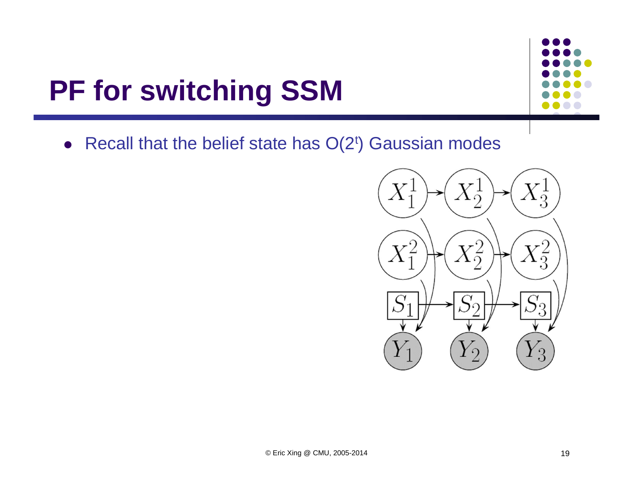# **PF for switching SSM**



• Recall that the belief state has  $O(2^t)$  Gaussian modes

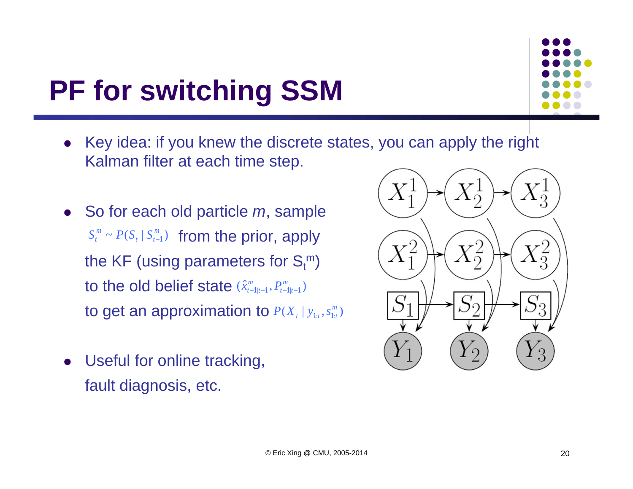# **PF for switching SSM**



- $\bullet$  Key idea: if you knew the discrete states, you can apply the right Kalman filter at each time step.
- So for each old particle *<sup>m</sup>*, sample  $\sim P(S_t | S_{t-1}^m)$  from the prior, apply the KF (using parameters for  $S_t^m$ ) to the old belief state  $(\hat{x}^m_{t-1|t-1}, P^m_{t-1|t-1})$ to get an approximation to  $P(X_{_t}\,|\:y_{1:t},s_{1:t}^m)$  $S_t^m \thicksim P(S_t \mid S_{t-1}^m)$  $\hat{\mathcal{X}}_{t-1|t-1}^{m},$   $P_{t-1|t-1}^{m}$  $P(X_{_t}\mid\mathcal{y}_{1:t},\mathcal{S}_{1:t}^{m})$
- $\bullet$  Useful for online tracking, fault diagnosis, etc.

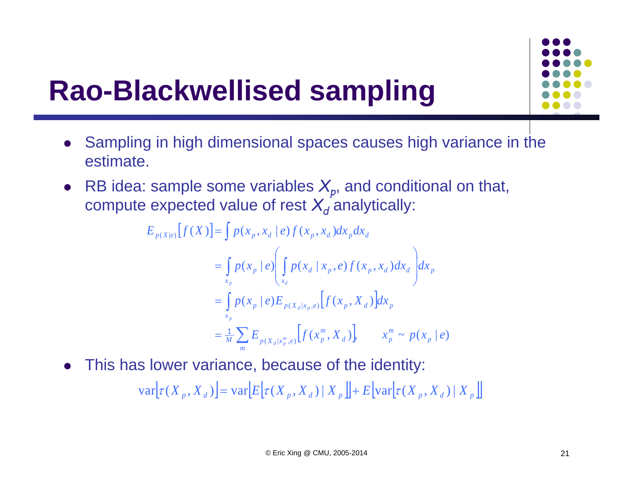

### **Rao-Blackwellised sampling**

- $\bullet$  Sampling in high dimensional spaces causes high variance in the estimate.
- $\bullet$ • RB idea: sample some variables  $X_p$ , and conditional on that, compute expected value of rest  $\mathcal{X}_d$  analytically:

$$
E_{p(X|e)}[f(X)] = \int p(x_p, x_d | e) f(x_p, x_d) dx_p dx_d
$$
  
= 
$$
\int_{x_p} p(x_p | e) \left( \int_{x_d} p(x_d | x_p, e) f(x_p, x_d) dx_d \right) dx_p
$$
  
= 
$$
\int_{x_p} p(x_p | e) E_{p(X_d | x_p, e)}[f(x_p, X_d)] dx_p
$$
  
= 
$$
\frac{1}{M} \sum_m E_{p(X_d | x_p^m, e)}[f(x_p^m, X_d)] \qquad x_p^m \sim p(x_p | e)
$$

0 This has lower variance, because of the identity:

$$
\text{var}\big[\tau(X_p, X_d)\big] = \text{var}\big[E\big[\tau(X_p, X_d)\,|\,X_p\big]\big] + E\big[\text{var}\big[\tau(X_p, X_d)\,|\,X_p\big]\big]
$$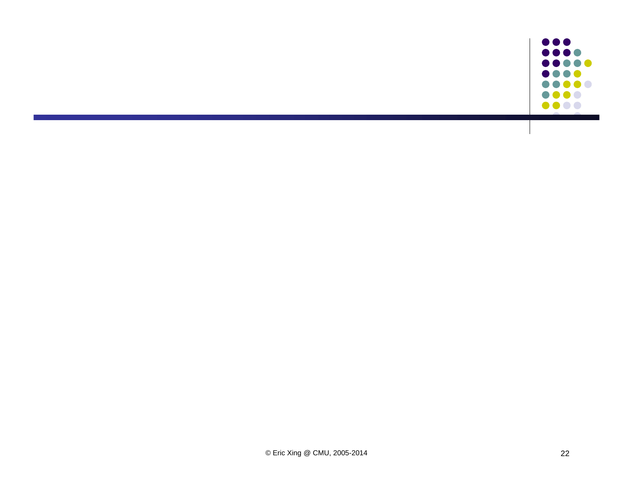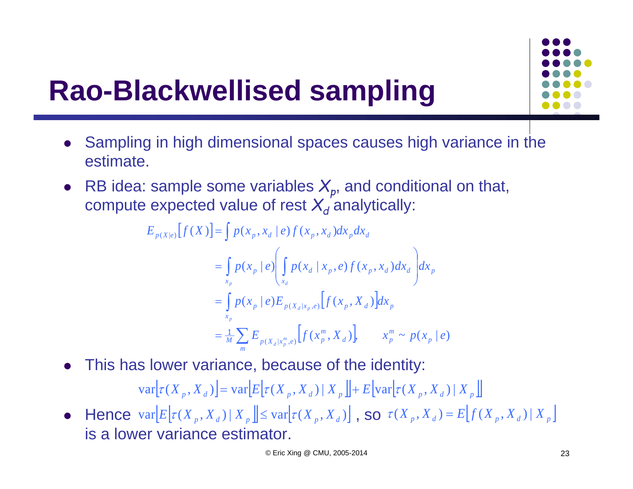

## **Rao-Blackwellised sampling**

- 0 Sampling in high dimensional spaces causes high variance in the estimate.
- $\bullet$ • RB idea: sample some variables  $X_p$ , and conditional on that, compute expected value of rest  $\mathcal{X}_d$  analytically:

$$
E_{p(X|e)}[f(X)] = \int p(x_p, x_d | e) f(x_p, x_d) dx_p dx_d
$$
  
= 
$$
\int_{x_p} p(x_p | e) \left( \int_{x_d} p(x_d | x_p, e) f(x_p, x_d) dx_d \right) dx_p
$$
  
= 
$$
\int_{x_p} p(x_p | e) E_{p(X_d | x_p, e)}[f(x_p, X_d)] dx_p
$$
  
= 
$$
\frac{1}{M} \sum_m E_{p(X_d | x_p^m, e)}[f(x_p^m, X_d)] \qquad x_p^m \sim p(x_p | e)
$$

0 This has lower variance, because of the identity:

 $\text{var}[\tau(X_p, X_d)] = \text{var}[E[\tau(X_p, X_d) | X_p]] + E[\text{var}[\tau(X_p, X_d) | X_p]]$ 

• Hence  $\text{var}[E[\tau(X_p, X_d) | X_p]] \leq \text{var}[\tau(X_p, X_d)]$ , so  $\tau(X_p, X_d) = E[f(X_p, X_d) | X_p]$ is a lower variance estimator.